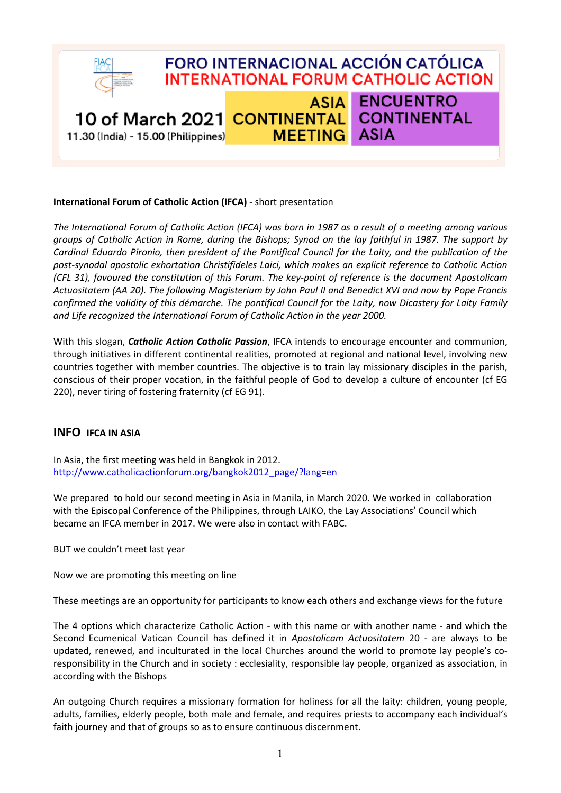

## **International Forum of Catholic Action (IFCA)** - short presentation

*The International Forum of Catholic Action (IFCA) was born in 1987 as a result of a meeting among various groups of Catholic Action in Rome, during the Bishops; Synod on the lay faithful in 1987. The support by Cardinal Eduardo Pironio, then president of the Pontifical Council for the Laity, and the publication of the post-synodal apostolic exhortation Christifideles Laici, which makes an explicit reference to Catholic Action (CFL 31), favoured the constitution of this Forum. The key-point of reference is the document Apostolicam Actuositatem (AA 20). The following Magisterium by John Paul II and Benedict XVI and now by Pope Francis confirmed the validity of this démarche. The pontifical Council for the Laity, now Dicastery for Laity Family and Life recognized the International Forum of Catholic Action in the year 2000.*

With this slogan, *Catholic Action Catholic Passion*, IFCA intends to encourage encounter and communion, through initiatives in different continental realities, promoted at regional and national level, involving new countries together with member countries. The objective is to train lay missionary disciples in the parish, conscious of their proper vocation, in the faithful people of God to develop a culture of encounter (cf EG 220), never tiring of fostering fraternity (cf EG 91).

## **INFO IFCA IN ASIA**

In Asia, the first meeting was held in Bangkok in 2012. [http://www.catholicactionforum.org/bangkok2012\\_page/?lang=en](http://www.catholicactionforum.org/bangkok2012_page/?lang=en)

We prepared to hold our second meeting in Asia in Manila, in March 2020. We worked in collaboration with the Episcopal Conference of the Philippines, through LAIKO, the Lay Associations' Council which became an IFCA member in 2017. We were also in contact with FABC.

BUT we couldn't meet last year

Now we are promoting this meeting on line

These meetings are an opportunity for participants to know each others and exchange views for the future

The 4 options which characterize Catholic Action - with this name or with another name - and which the Second Ecumenical Vatican Council has defined it in *Apostolicam Actuositatem* 20 - are always to be updated, renewed, and inculturated in the local Churches around the world to promote lay people's coresponsibility in the Church and in society : ecclesiality, responsible lay people, organized as association, in according with the Bishops

An outgoing Church requires a missionary formation for holiness for all the laity: children, young people, adults, families, elderly people, both male and female, and requires priests to accompany each individual's faith journey and that of groups so as to ensure continuous discernment.